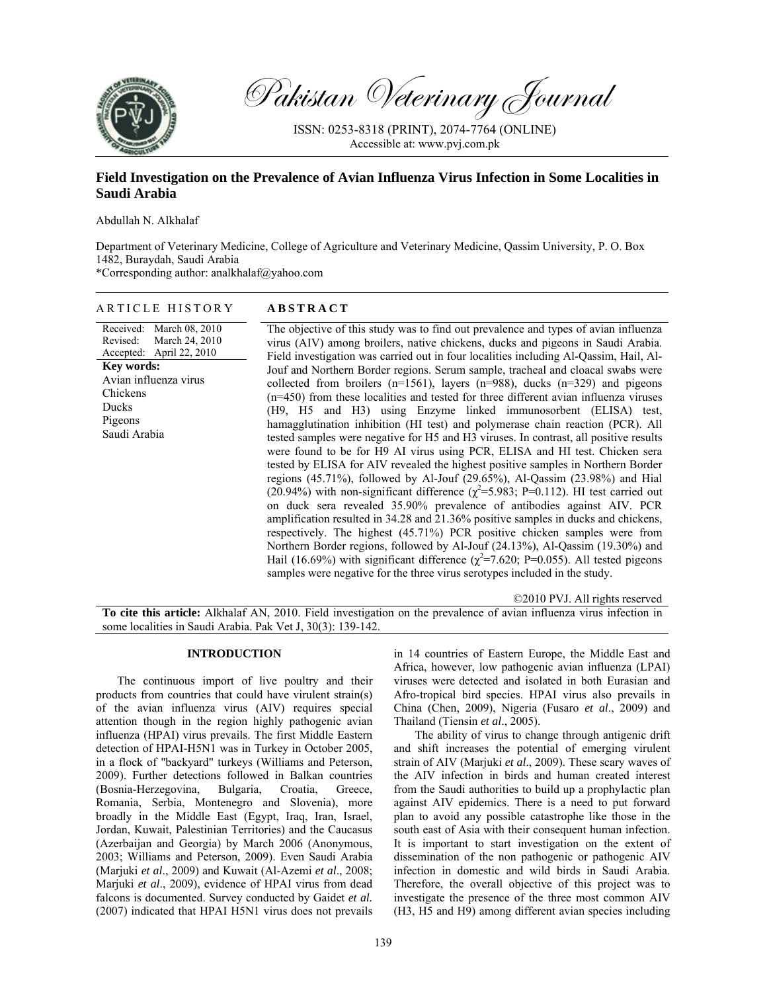

Pakistan Veterinary Journal

ISSN: 0253-8318 (PRINT), 2074-7764 (ONLINE) Accessible at: www.pvj.com.pk

# **Field Investigation on the Prevalence of Avian Influenza Virus Infection in Some Localities in Saudi Arabia**

Abdullah N. Alkhalaf

Department of Veterinary Medicine, College of Agriculture and Veterinary Medicine, Qassim University, P. O. Box 1482, Buraydah, Saudi Arabia

\*Corresponding author: analkhalaf@yahoo.com

| ARTICLE HISTORY                                                                                                                                                           | <b>ABSTRACT</b>                                                                                                                                                                                                                                                                                                                                                                                                                                                                                                                                                                                                                                                                                                                                                                                                                                                                                                                                                                                                                                                                                                                                                                                                                                                                                                                                                                                                                                                                                                                                                                                                                                      |
|---------------------------------------------------------------------------------------------------------------------------------------------------------------------------|------------------------------------------------------------------------------------------------------------------------------------------------------------------------------------------------------------------------------------------------------------------------------------------------------------------------------------------------------------------------------------------------------------------------------------------------------------------------------------------------------------------------------------------------------------------------------------------------------------------------------------------------------------------------------------------------------------------------------------------------------------------------------------------------------------------------------------------------------------------------------------------------------------------------------------------------------------------------------------------------------------------------------------------------------------------------------------------------------------------------------------------------------------------------------------------------------------------------------------------------------------------------------------------------------------------------------------------------------------------------------------------------------------------------------------------------------------------------------------------------------------------------------------------------------------------------------------------------------------------------------------------------------|
| Received: March 08, 2010<br>March 24, 2010<br>Revised:<br>Accepted: April 22, 2010<br>Key words:<br>Avian influenza virus<br>Chickens<br>Ducks<br>Pigeons<br>Saudi Arabia | The objective of this study was to find out prevalence and types of avian influenza<br>virus (AIV) among broilers, native chickens, ducks and pigeons in Saudi Arabia.<br>Field investigation was carried out in four localities including Al-Qassim, Hail, Al-<br>Jouf and Northern Border regions. Serum sample, tracheal and cloacal swabs were<br>collected from broilers $(n=1561)$ , layers $(n=988)$ , ducks $(n=329)$ and pigeons<br>$(n=450)$ from these localities and tested for three different avian influenza viruses<br>(H9, H5 and H3) using Enzyme linked immunosorbent (ELISA) test,<br>hamagglutination inhibition (HI test) and polymerase chain reaction (PCR). All<br>tested samples were negative for H5 and H3 viruses. In contrast, all positive results<br>were found to be for H9 AI virus using PCR, ELISA and HI test. Chicken sera<br>tested by ELISA for AIV revealed the highest positive samples in Northern Border<br>regions $(45.71\%)$ , followed by Al-Jouf $(29.65\%)$ , Al-Qassim $(23.98\%)$ and Hial<br>(20.94%) with non-significant difference ( $\chi^2$ =5.983; P=0.112). HI test carried out<br>on duck sera revealed 35.90% prevalence of antibodies against AIV. PCR<br>amplification resulted in 34.28 and 21.36% positive samples in ducks and chickens,<br>respectively. The highest (45.71%) PCR positive chicken samples were from<br>Northern Border regions, followed by Al-Jouf (24.13%), Al-Qassim (19.30%) and<br>Hail (16.69%) with significant difference ( $\chi^2$ =7.620; P=0.055). All tested pigeons<br>samples were negative for the three virus serotypes included in the study. |
|                                                                                                                                                                           |                                                                                                                                                                                                                                                                                                                                                                                                                                                                                                                                                                                                                                                                                                                                                                                                                                                                                                                                                                                                                                                                                                                                                                                                                                                                                                                                                                                                                                                                                                                                                                                                                                                      |

©2010 PVJ. All rights reserved

**To cite this article:** Alkhalaf AN, 2010. Field investigation on the prevalence of avian influenza virus infection in some localities in Saudi Arabia. Pak Vet J, 30(3): 139-142.

## **INTRODUCTION**

The continuous import of live poultry and their products from countries that could have virulent strain(s) of the avian influenza virus (AIV) requires special attention though in the region highly pathogenic avian influenza (HPAI) virus prevails. The first Middle Eastern detection of HPAI-H5N1 was in Turkey in October 2005, in a flock of "backyard" turkeys (Williams and Peterson, 2009). Further detections followed in Balkan countries (Bosnia-Herzegovina, Bulgaria, Croatia, Greece, Romania, Serbia, Montenegro and Slovenia), more broadly in the Middle East (Egypt, Iraq, Iran, Israel, Jordan, Kuwait, Palestinian Territories) and the Caucasus (Azerbaijan and Georgia) by March 2006 (Anonymous, 2003; Williams and Peterson, 2009). Even Saudi Arabia (Marjuki *et al*., 2009) and Kuwait (Al-Azemi *et al*., 2008; Marjuki *et al*., 2009), evidence of HPAI virus from dead falcons is documented. Survey conducted by Gaidet *et al.* (2007) indicated that HPAI H5N1 virus does not prevails

in 14 countries of Eastern Europe, the Middle East and Africa, however, low pathogenic avian influenza (LPAI) viruses were detected and isolated in both Eurasian and Afro-tropical bird species. HPAI virus also prevails in China (Chen, 2009), Nigeria (Fusaro *et al*., 2009) and Thailand (Tiensin *et al*., 2005).

The ability of virus to change through antigenic drift and shift increases the potential of emerging virulent strain of AIV (Marjuki *et al*., 2009). These scary waves of the AIV infection in birds and human created interest from the Saudi authorities to build up a prophylactic plan against AIV epidemics. There is a need to put forward plan to avoid any possible catastrophe like those in the south east of Asia with their consequent human infection. It is important to start investigation on the extent of dissemination of the non pathogenic or pathogenic AIV infection in domestic and wild birds in Saudi Arabia. Therefore, the overall objective of this project was to investigate the presence of the three most common AIV (H3, H5 and H9) among different avian species including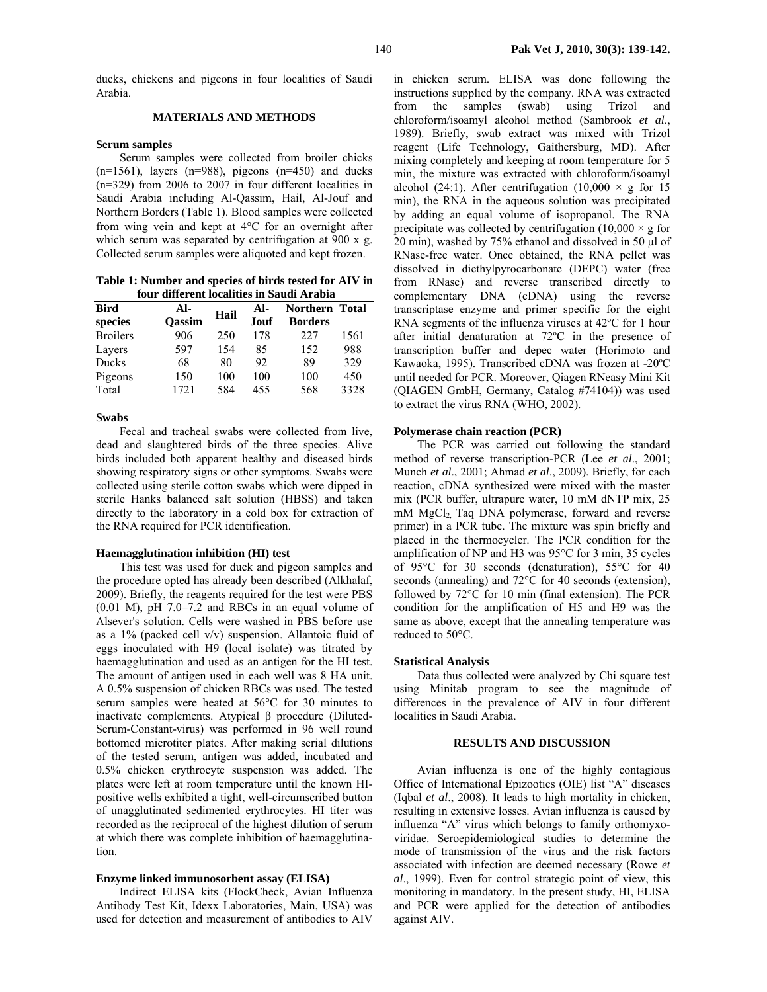ducks, chickens and pigeons in four localities of Saudi Arabia.

# **MATERIALS AND METHODS**

#### **Serum samples**

Serum samples were collected from broiler chicks  $(n=1561)$ , layers  $(n=988)$ , pigeons  $(n=450)$  and ducks (n=329) from 2006 to 2007 in four different localities in Saudi Arabia including Al-Qassim, Hail, Al-Jouf and Northern Borders (Table 1). Blood samples were collected from wing vein and kept at 4°C for an overnight after which serum was separated by centrifugation at 900 x g. Collected serum samples were aliquoted and kept frozen.

**Table 1: Number and species of birds tested for AIV in four different localities in Saudi Arabia** 

| <b>Bird</b>     | Al-           | Hail | Al-  | Northern Total |      |  |  |
|-----------------|---------------|------|------|----------------|------|--|--|
| species         | <b>Oassim</b> |      | Jouf | <b>Borders</b> |      |  |  |
| <b>Broilers</b> | 906           | 250  | 178  | 227            | 1561 |  |  |
| Layers          | 597           | 154  | 85   | 152            | 988  |  |  |
| Ducks           | 68            | 80   | 92   | 89             | 329  |  |  |
| Pigeons         | 150           | 100  | 100  | 100            | 450  |  |  |
| Total           | 1721          | 584  | 455  | 568            | 3328 |  |  |

#### **Swabs**

Fecal and tracheal swabs were collected from live, dead and slaughtered birds of the three species. Alive birds included both apparent healthy and diseased birds showing respiratory signs or other symptoms. Swabs were collected using sterile cotton swabs which were dipped in sterile Hanks balanced salt solution (HBSS) and taken directly to the laboratory in a cold box for extraction of the RNA required for PCR identification.

#### **Haemagglutination inhibition (HI) test**

This test was used for duck and pigeon samples and the procedure opted has already been described (Alkhalaf, 2009). Briefly, the reagents required for the test were PBS (0.01 M), pH 7.0–7.2 and RBCs in an equal volume of Alsever's solution. Cells were washed in PBS before use as a 1% (packed cell v/v) suspension. Allantoic fluid of eggs inoculated with H9 (local isolate) was titrated by haemagglutination and used as an antigen for the HI test. The amount of antigen used in each well was 8 HA unit. A 0.5% suspension of chicken RBCs was used. The tested serum samples were heated at 56°C for 30 minutes to inactivate complements. Atypical β procedure (Diluted-Serum-Constant-virus) was performed in 96 well round bottomed microtiter plates. After making serial dilutions of the tested serum, antigen was added, incubated and 0.5% chicken erythrocyte suspension was added. The plates were left at room temperature until the known HIpositive wells exhibited a tight, well-circumscribed button of unagglutinated sedimented erythrocytes. HI titer was recorded as the reciprocal of the highest dilution of serum at which there was complete inhibition of haemagglutination.

### **Enzyme linked immunosorbent assay (ELISA)**

Indirect ELISA kits (FlockCheck, Avian Influenza Antibody Test Kit, Idexx Laboratories, Main, USA) was used for detection and measurement of antibodies to AIV

in chicken serum. ELISA was done following the instructions supplied by the company. RNA was extracted from the samples (swab) using Trizol and chloroform/isoamyl alcohol method (Sambrook *et al*., 1989). Briefly, swab extract was mixed with Trizol reagent (Life Technology, Gaithersburg, MD). After mixing completely and keeping at room temperature for 5 min, the mixture was extracted with chloroform/isoamyl alcohol (24:1). After centrifugation (10,000  $\times$  g for 15 min), the RNA in the aqueous solution was precipitated by adding an equal volume of isopropanol. The RNA precipitate was collected by centrifugation  $(10,000 \times g)$  for 20 min), washed by 75% ethanol and dissolved in 50 µl of RNase-free water. Once obtained, the RNA pellet was dissolved in diethylpyrocarbonate (DEPC) water (free from RNase) and reverse transcribed directly to complementary DNA (cDNA) using the reverse transcriptase enzyme and primer specific for the eight RNA segments of the influenza viruses at 42ºC for 1 hour after initial denaturation at 72ºC in the presence of transcription buffer and depec water (Horimoto and Kawaoka, 1995). Transcribed cDNA was frozen at -20ºC until needed for PCR. Moreover, Qiagen RNeasy Mini Kit (QIAGEN GmbH, Germany, Catalog #74104)) was used to extract the virus RNA (WHO, 2002).

### **Polymerase chain reaction (PCR)**

The PCR was carried out following the standard method of reverse transcription-PCR (Lee *et al*., 2001; Munch *et al*., 2001; Ahmad *et al*., 2009). Briefly, for each reaction, cDNA synthesized were mixed with the master mix (PCR buffer, ultrapure water, 10 mM dNTP mix, 25 mM MgCl<sub>2</sub> Taq DNA polymerase, forward and reverse primer) in a PCR tube. The mixture was spin briefly and placed in the thermocycler. The PCR condition for the amplification of NP and H3 was 95°C for 3 min, 35 cycles of 95°C for 30 seconds (denaturation), 55°C for 40 seconds (annealing) and 72°C for 40 seconds (extension), followed by 72°C for 10 min (final extension). The PCR condition for the amplification of H5 and H9 was the same as above, except that the annealing temperature was reduced to 50°C.

### **Statistical Analysis**

Data thus collected were analyzed by Chi square test using Minitab program to see the magnitude of differences in the prevalence of AIV in four different localities in Saudi Arabia.

# **RESULTS AND DISCUSSION**

Avian influenza is one of the highly contagious Office of International Epizootics (OIE) list "A" diseases (Iqbal *et al*., 2008). It leads to high mortality in chicken, resulting in extensive losses. Avian influenza is caused by influenza "A" virus which belongs to family orthomyxoviridae. Seroepidemiological studies to determine the mode of transmission of the virus and the risk factors associated with infection are deemed necessary (Rowe *et al*., 1999). Even for control strategic point of view, this monitoring in mandatory. In the present study, HI, ELISA and PCR were applied for the detection of antibodies against AIV.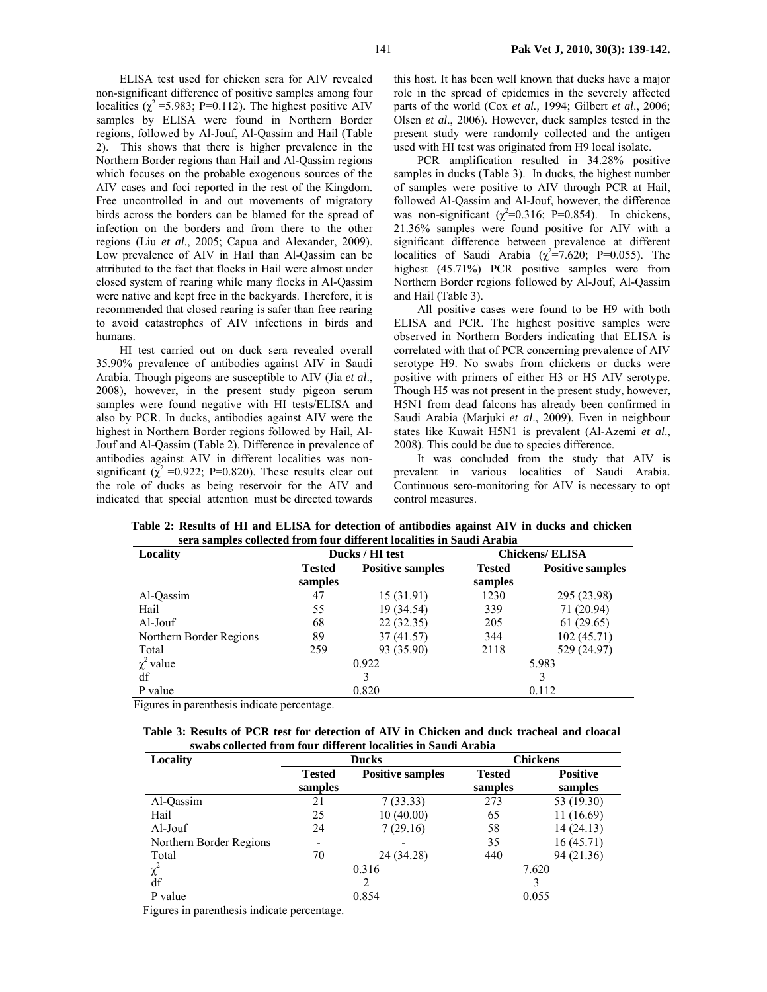ELISA test used for chicken sera for AIV revealed non-significant difference of positive samples among four localities ( $\chi^2$  =5.983; P=0.112). The highest positive AIV samples by ELISA were found in Northern Border regions, followed by Al-Jouf, Al-Qassim and Hail (Table 2). This shows that there is higher prevalence in the Northern Border regions than Hail and Al-Qassim regions which focuses on the probable exogenous sources of the AIV cases and foci reported in the rest of the Kingdom. Free uncontrolled in and out movements of migratory birds across the borders can be blamed for the spread of infection on the borders and from there to the other regions (Liu *et al*., 2005; Capua and Alexander, 2009). Low prevalence of AIV in Hail than Al-Qassim can be attributed to the fact that flocks in Hail were almost under closed system of rearing while many flocks in Al-Qassim were native and kept free in the backyards. Therefore, it is recommended that closed rearing is safer than free rearing to avoid catastrophes of AIV infections in birds and humans.

HI test carried out on duck sera revealed overall 35.90% prevalence of antibodies against AIV in Saudi Arabia. Though pigeons are susceptible to AIV (Jia *et al*., 2008), however, in the present study pigeon serum samples were found negative with HI tests/ELISA and also by PCR. In ducks, antibodies against AIV were the highest in Northern Border regions followed by Hail, Al-Jouf and Al-Qassim (Table 2). Difference in prevalence of antibodies against AIV in different localities was nonsignificant ( $\chi^2$  =0.922; P=0.820). These results clear out the role of ducks as being reservoir for the AIV and indicated that special attention must be directed towards

this host. It has been well known that ducks have a major role in the spread of epidemics in the severely affected parts of the world (Cox *et al.,* 1994; Gilbert *et al*., 2006; Olsen *et al*., 2006). However, duck samples tested in the present study were randomly collected and the antigen used with HI test was originated from H9 local isolate.

PCR amplification resulted in 34.28% positive samples in ducks (Table 3). In ducks, the highest number of samples were positive to AIV through PCR at Hail, followed Al-Qassim and Al-Jouf, however, the difference was non-significant  $(\chi^2=0.316; \text{ P}=0.854)$ . In chickens, 21.36% samples were found positive for AIV with a significant difference between prevalence at different localities of Saudi Arabia  $(\chi^2 = 7.620; \text{ P} = 0.055)$ . The highest (45.71%) PCR positive samples were from Northern Border regions followed by Al-Jouf, Al-Qassim and Hail (Table 3).

All positive cases were found to be H9 with both ELISA and PCR. The highest positive samples were observed in Northern Borders indicating that ELISA is correlated with that of PCR concerning prevalence of AIV serotype H9. No swabs from chickens or ducks were positive with primers of either H3 or H5 AIV serotype. Though H5 was not present in the present study, however, H5N1 from dead falcons has already been confirmed in Saudi Arabia (Marjuki *et al*., 2009). Even in neighbour states like Kuwait H5N1 is prevalent (Al-Azemi *et al*., 2008). This could be due to species difference.

It was concluded from the study that AIV is prevalent in various localities of Saudi Arabia. Continuous sero-monitoring for AIV is necessary to opt control measures.

| Locality                |               | Ducks / HI test         | <b>Chickens/ ELISA</b> |                         |  |  |
|-------------------------|---------------|-------------------------|------------------------|-------------------------|--|--|
|                         | <b>Tested</b> | <b>Positive samples</b> | <b>Tested</b>          | <b>Positive samples</b> |  |  |
|                         | samples       |                         | samples                |                         |  |  |
| Al-Qassim               | 47            | 15(31.91)               | 1230                   | 295 (23.98)             |  |  |
| Hail                    | 55            | 19 (34.54)              | 339                    | 71 (20.94)              |  |  |
| Al-Jouf                 | 68            | 22(32.35)               | 205                    | 61 (29.65)              |  |  |
| Northern Border Regions | 89            | 37(41.57)               | 344                    | 102(45.71)              |  |  |
| Total                   | 259           | 93 (35.90)              | 2118                   | 529 (24.97)             |  |  |
| $\chi^2$ value          | 0.922         |                         | 5.983                  |                         |  |  |
| df                      | 3             |                         |                        |                         |  |  |
| P value                 |               | 0.820                   | 0.112                  |                         |  |  |

**Table 2: Results of HI and ELISA for detection of antibodies against AIV in ducks and chicken sera samples collected from four different localities in Saudi Arabia** 

Figures in parenthesis indicate percentage.

|  |  |  | Table 3: Results of PCR test for detection of AIV in Chicken and duck tracheal and cloacal |  |  |  |
|--|--|--|--------------------------------------------------------------------------------------------|--|--|--|
|  |  |  | swabs collected from four different localities in Saudi Arabia                             |  |  |  |

| Locality                |                | <b>Ducks</b>            | <b>Chickens</b> |                 |  |  |
|-------------------------|----------------|-------------------------|-----------------|-----------------|--|--|
|                         | <b>Tested</b>  | <b>Positive samples</b> | <b>Tested</b>   | <b>Positive</b> |  |  |
|                         | samples        |                         | samples         | samples         |  |  |
| Al-Qassim               | 21             | 7(33.33)                | 273             | 53 (19.30)      |  |  |
| Hail                    | 25             | 10(40.00)               | 65              | 11 (16.69)      |  |  |
| Al-Jouf                 | 24             | 7(29.16)                | 58              | 14(24.13)       |  |  |
| Northern Border Regions |                |                         | 35              | 16(45.71)       |  |  |
| Total                   | 70             | 24 (34.28)              | 440             | 94 (21.36)      |  |  |
| $\chi^2$                | 0.316          |                         | 7.620           |                 |  |  |
| df                      |                | 2                       |                 |                 |  |  |
| P value                 | 0.854<br>0.055 |                         |                 |                 |  |  |

Figures in parenthesis indicate percentage.